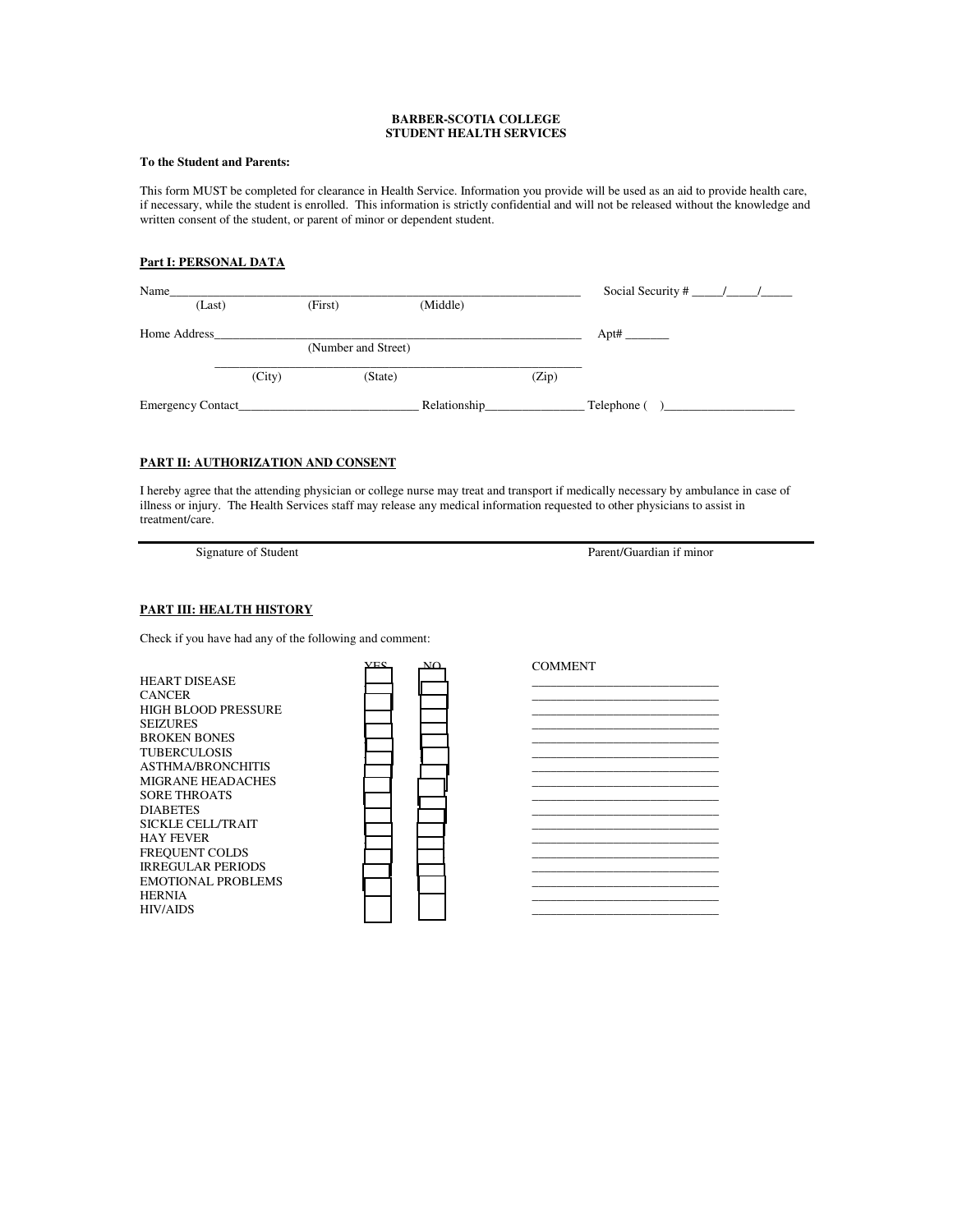#### **BARBER-SCOTIA COLLEGE STUDENT HEALTH SERVICES**

### **To the Student and Parents:**

This form MUST be completed for clearance in Health Service. Information you provide will be used as an aid to provide health care, if necessary, while the student is enrolled. This information is strictly confidential and will not be released without the knowledge and written consent of the student, or parent of minor or dependent student.

#### **Part I: PERSONAL DATA**

| Name              |        |                     |              |       | Social Security # $\frac{1}{\sqrt{2}}$ |
|-------------------|--------|---------------------|--------------|-------|----------------------------------------|
| (Last)            |        | (First)             | (Middle)     |       |                                        |
| Home Address      |        |                     |              |       |                                        |
|                   |        | (Number and Street) |              |       |                                        |
|                   | (City) | (State)             |              | (Zip) |                                        |
| Emergency Contact |        |                     | Relationship |       | Telephone (                            |

# **PART II: AUTHORIZATION AND CONSENT**

I hereby agree that the attending physician or college nurse may treat and transport if medically necessary by ambulance in case of illness or injury. The Health Services staff may release any medical information requested to other physicians to assist in treatment/care.

Signature of Student Parent/Guardian if minor

## **PART III: HEALTH HISTORY**

Check if you have had any of the following and comment:

|                           | <b>VEC</b> | $\mathbf{M}$ | <b>COMMENT</b> |  |
|---------------------------|------------|--------------|----------------|--|
| HEART DISEASE             |            |              |                |  |
| CANCER                    |            |              |                |  |
| HIGH BLOOD PRESSURE       |            |              |                |  |
| <b>SEIZURES</b>           |            |              |                |  |
| <b>BROKEN BONES</b>       |            |              |                |  |
| TUBERCULOSIS              |            |              |                |  |
| ASTHMA/BRONCHITIS         |            |              |                |  |
| MIGRANE HEADACHES         |            |              |                |  |
| SORE THROATS              |            |              |                |  |
| <b>DIABETES</b>           |            |              |                |  |
| SICKLE CELL/TRAIT         |            |              |                |  |
| HAY FEVER                 |            |              |                |  |
| FREQUENT COLDS            |            |              |                |  |
| <b>IRREGULAR PERIODS</b>  |            |              |                |  |
| <b>EMOTIONAL PROBLEMS</b> |            |              |                |  |
| HERNIA                    |            |              |                |  |
| <b>HIV/AIDS</b>           |            |              |                |  |
|                           |            |              |                |  |